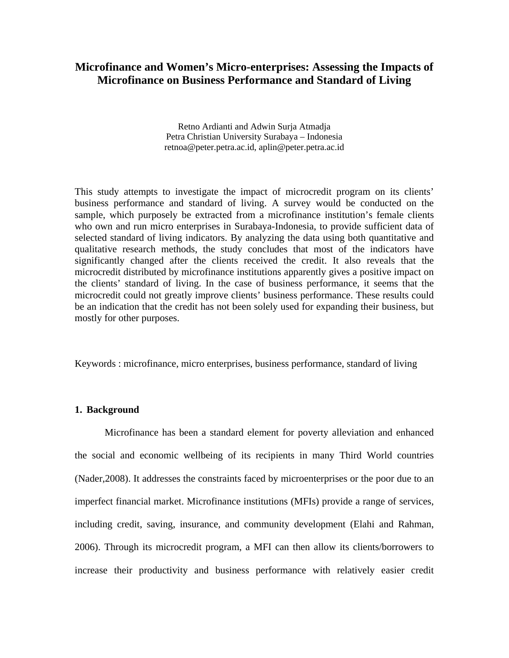# **Microfinance and Women's Micro-enterprises: Assessing the Impacts of Microfinance on Business Performance and Standard of Living**

Retno Ardianti and Adwin Surja Atmadja Petra Christian University Surabaya – Indonesia retnoa@peter.petra.ac.id, aplin@peter.petra.ac.id

This study attempts to investigate the impact of microcredit program on its clients' business performance and standard of living. A survey would be conducted on the sample, which purposely be extracted from a microfinance institution's female clients who own and run micro enterprises in Surabaya-Indonesia, to provide sufficient data of selected standard of living indicators. By analyzing the data using both quantitative and qualitative research methods, the study concludes that most of the indicators have significantly changed after the clients received the credit. It also reveals that the microcredit distributed by microfinance institutions apparently gives a positive impact on the clients' standard of living. In the case of business performance, it seems that the microcredit could not greatly improve clients' business performance. These results could be an indication that the credit has not been solely used for expanding their business, but mostly for other purposes.

Keywords : microfinance, micro enterprises, business performance, standard of living

### **1. Background**

Microfinance has been a standard element for poverty alleviation and enhanced the social and economic wellbeing of its recipients in many Third World countries (Nader,2008). It addresses the constraints faced by microenterprises or the poor due to an imperfect financial market. Microfinance institutions (MFIs) provide a range of services, including credit, saving, insurance, and community development (Elahi and Rahman, 2006). Through its microcredit program, a MFI can then allow its clients/borrowers to increase their productivity and business performance with relatively easier credit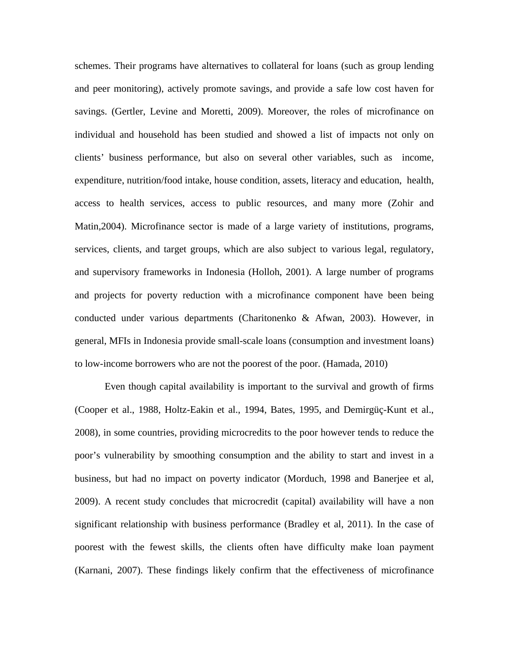schemes. Their programs have alternatives to collateral for loans (such as group lending and peer monitoring), actively promote savings, and provide a safe low cost haven for savings. (Gertler, Levine and Moretti, 2009). Moreover, the roles of microfinance on individual and household has been studied and showed a list of impacts not only on clients' business performance, but also on several other variables, such as income, expenditure, nutrition/food intake, house condition, assets, literacy and education, health, access to health services, access to public resources, and many more (Zohir and Matin,2004). Microfinance sector is made of a large variety of institutions, programs, services, clients, and target groups, which are also subject to various legal, regulatory, and supervisory frameworks in Indonesia (Holloh, 2001). A large number of programs and projects for poverty reduction with a microfinance component have been being conducted under various departments (Charitonenko & Afwan, 2003). However, in general, MFIs in Indonesia provide small-scale loans (consumption and investment loans) to low-income borrowers who are not the poorest of the poor. (Hamada, 2010)

Even though capital availability is important to the survival and growth of firms (Cooper et al., 1988, Holtz-Eakin et al., 1994, Bates, 1995, and Demirgüç-Kunt et al., 2008), in some countries, providing microcredits to the poor however tends to reduce the poor's vulnerability by smoothing consumption and the ability to start and invest in a business, but had no impact on poverty indicator (Morduch, 1998 and Banerjee et al, 2009). A recent study concludes that microcredit (capital) availability will have a non significant relationship with business performance (Bradley et al, 2011). In the case of poorest with the fewest skills, the clients often have difficulty make loan payment (Karnani, 2007). These findings likely confirm that the effectiveness of microfinance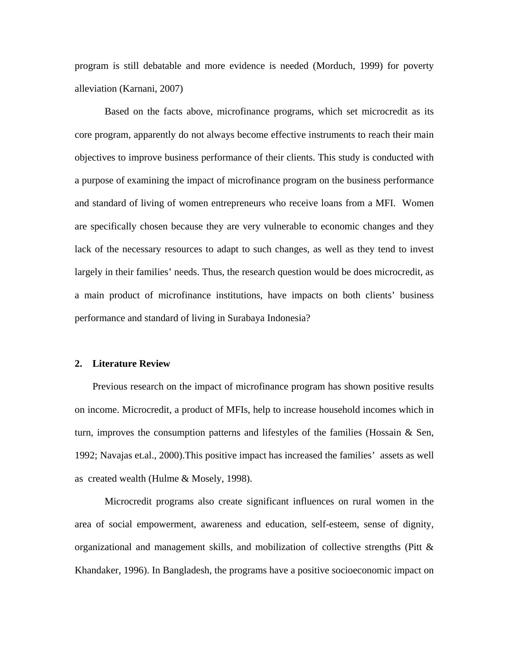program is still debatable and more evidence is needed (Morduch, 1999) for poverty alleviation (Karnani, 2007)

Based on the facts above, microfinance programs, which set microcredit as its core program, apparently do not always become effective instruments to reach their main objectives to improve business performance of their clients. This study is conducted with a purpose of examining the impact of microfinance program on the business performance and standard of living of women entrepreneurs who receive loans from a MFI. Women are specifically chosen because they are very vulnerable to economic changes and they lack of the necessary resources to adapt to such changes, as well as they tend to invest largely in their families' needs. Thus, the research question would be does microcredit, as a main product of microfinance institutions, have impacts on both clients' business performance and standard of living in Surabaya Indonesia?

#### **2. Literature Review**

Previous research on the impact of microfinance program has shown positive results on income. Microcredit, a product of MFIs, help to increase household incomes which in turn, improves the consumption patterns and lifestyles of the families (Hossain & Sen, 1992; Navajas et.al., 2000).This positive impact has increased the families' assets as well as created wealth (Hulme & Mosely, 1998).

Microcredit programs also create significant influences on rural women in the area of social empowerment, awareness and education, self-esteem, sense of dignity, organizational and management skills, and mobilization of collective strengths (Pitt & Khandaker, 1996). In Bangladesh, the programs have a positive socioeconomic impact on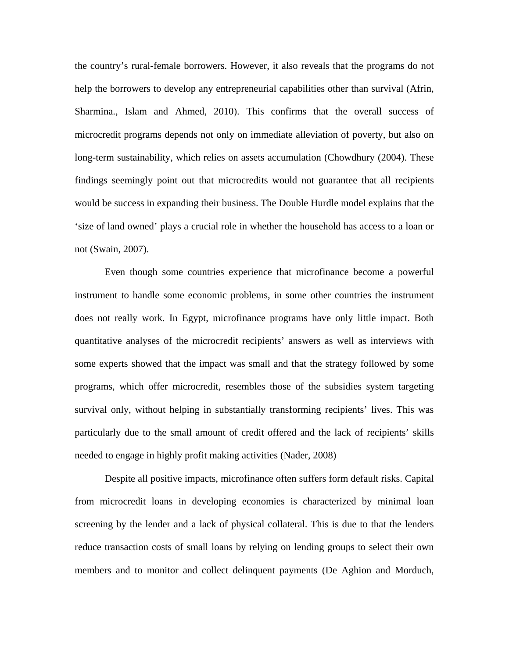the country's rural-female borrowers. However, it also reveals that the programs do not help the borrowers to develop any entrepreneurial capabilities other than survival (Afrin, Sharmina., Islam and Ahmed, 2010). This confirms that the overall success of microcredit programs depends not only on immediate alleviation of poverty, but also on long-term sustainability, which relies on assets accumulation (Chowdhury (2004). These findings seemingly point out that microcredits would not guarantee that all recipients would be success in expanding their business. The Double Hurdle model explains that the 'size of land owned' plays a crucial role in whether the household has access to a loan or not (Swain, 2007).

Even though some countries experience that microfinance become a powerful instrument to handle some economic problems, in some other countries the instrument does not really work. In Egypt, microfinance programs have only little impact. Both quantitative analyses of the microcredit recipients' answers as well as interviews with some experts showed that the impact was small and that the strategy followed by some programs, which offer microcredit, resembles those of the subsidies system targeting survival only, without helping in substantially transforming recipients' lives. This was particularly due to the small amount of credit offered and the lack of recipients' skills needed to engage in highly profit making activities (Nader, 2008)

Despite all positive impacts, microfinance often suffers form default risks. Capital from microcredit loans in developing economies is characterized by minimal loan screening by the lender and a lack of physical collateral. This is due to that the lenders reduce transaction costs of small loans by relying on lending groups to select their own members and to monitor and collect delinquent payments (De Aghion and Morduch,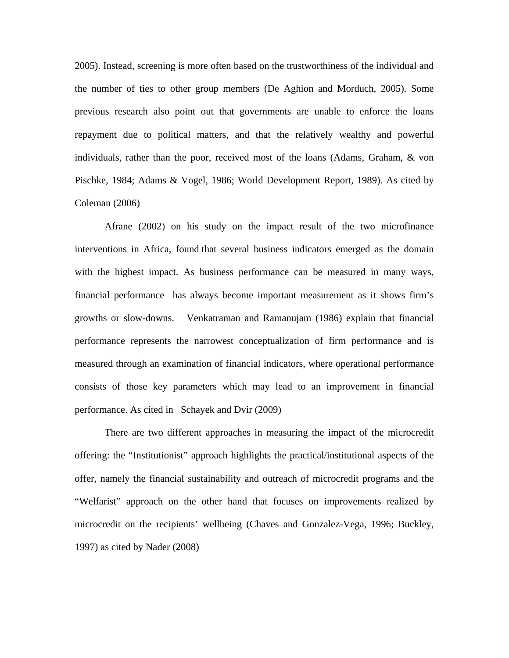2005). Instead, screening is more often based on the trustworthiness of the individual and the number of ties to other group members (De Aghion and Morduch, 2005). Some previous research also point out that governments are unable to enforce the loans repayment due to political matters, and that the relatively wealthy and powerful individuals, rather than the poor, received most of the loans (Adams, Graham, & von Pischke, 1984; Adams & Vogel, 1986; World Development Report, 1989). As cited by Coleman (2006)

Afrane (2002) on his study on the impact result of the two microfinance interventions in Africa, found that several business indicators emerged as the domain with the highest impact. As business performance can be measured in many ways, financial performance has always become important measurement as it shows firm's growths or slow-downs. Venkatraman and Ramanujam (1986) explain that financial performance represents the narrowest conceptualization of firm performance and is measured through an examination of financial indicators, where operational performance consists of those key parameters which may lead to an improvement in financial performance. As cited in Schayek and Dvir (2009)

There are two different approaches in measuring the impact of the microcredit offering: the "Institutionist" approach highlights the practical/institutional aspects of the offer, namely the financial sustainability and outreach of microcredit programs and the "Welfarist" approach on the other hand that focuses on improvements realized by microcredit on the recipients' wellbeing (Chaves and Gonzalez-Vega, 1996; Buckley, 1997) as cited by Nader (2008)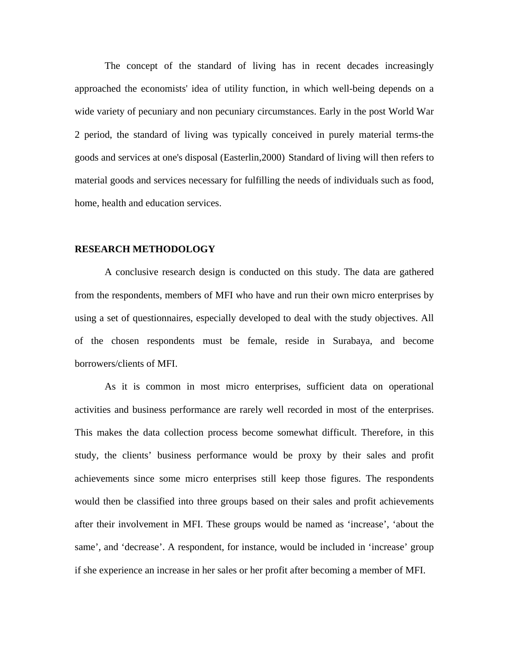The concept of the standard of living has in recent decades increasingly approached the economists' idea of utility function, in which well-being depends on a wide variety of pecuniary and non pecuniary circumstances. Early in the post World War 2 period, the standard of living was typically conceived in purely material terms-the goods and services at one's disposal (Easterlin,2000) Standard of living will then refers to material goods and services necessary for fulfilling the needs of individuals such as food, home, health and education services.

#### **RESEARCH METHODOLOGY**

A conclusive research design is conducted on this study. The data are gathered from the respondents, members of MFI who have and run their own micro enterprises by using a set of questionnaires, especially developed to deal with the study objectives. All of the chosen respondents must be female, reside in Surabaya, and become borrowers/clients of MFI.

 As it is common in most micro enterprises, sufficient data on operational activities and business performance are rarely well recorded in most of the enterprises. This makes the data collection process become somewhat difficult. Therefore, in this study, the clients' business performance would be proxy by their sales and profit achievements since some micro enterprises still keep those figures. The respondents would then be classified into three groups based on their sales and profit achievements after their involvement in MFI. These groups would be named as 'increase', 'about the same', and 'decrease'. A respondent, for instance, would be included in 'increase' group if she experience an increase in her sales or her profit after becoming a member of MFI.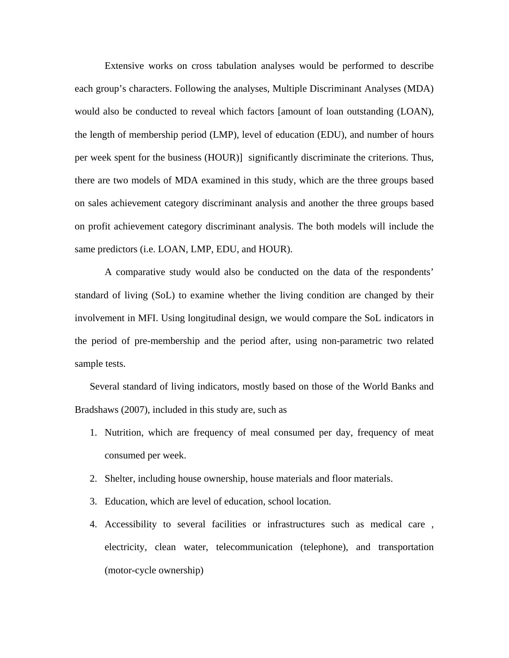Extensive works on cross tabulation analyses would be performed to describe each group's characters. Following the analyses, Multiple Discriminant Analyses (MDA) would also be conducted to reveal which factors [amount of loan outstanding (LOAN), the length of membership period (LMP), level of education (EDU), and number of hours per week spent for the business (HOUR)] significantly discriminate the criterions. Thus, there are two models of MDA examined in this study, which are the three groups based on sales achievement category discriminant analysis and another the three groups based on profit achievement category discriminant analysis. The both models will include the same predictors (i.e. LOAN, LMP, EDU, and HOUR).

A comparative study would also be conducted on the data of the respondents' standard of living (SoL) to examine whether the living condition are changed by their involvement in MFI. Using longitudinal design, we would compare the SoL indicators in the period of pre-membership and the period after, using non-parametric two related sample tests.

Several standard of living indicators, mostly based on those of the World Banks and Bradshaws (2007), included in this study are, such as

- 1. Nutrition, which are frequency of meal consumed per day, frequency of meat consumed per week.
- 2. Shelter, including house ownership, house materials and floor materials.
- 3. Education, which are level of education, school location.
- 4. Accessibility to several facilities or infrastructures such as medical care , electricity, clean water, telecommunication (telephone), and transportation (motor-cycle ownership)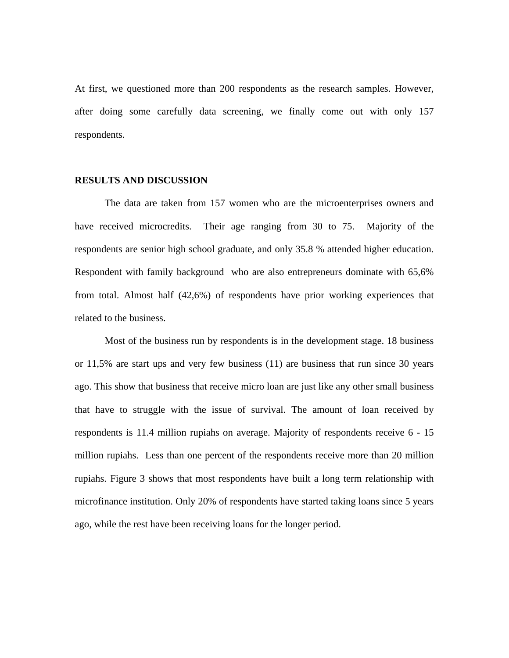At first, we questioned more than 200 respondents as the research samples. However, after doing some carefully data screening, we finally come out with only 157 respondents.

#### **RESULTS AND DISCUSSION**

The data are taken from 157 women who are the microenterprises owners and have received microcredits. Their age ranging from 30 to 75. Majority of the respondents are senior high school graduate, and only 35.8 % attended higher education. Respondent with family background who are also entrepreneurs dominate with 65,6% from total. Almost half (42,6%) of respondents have prior working experiences that related to the business.

Most of the business run by respondents is in the development stage. 18 business or 11,5% are start ups and very few business (11) are business that run since 30 years ago. This show that business that receive micro loan are just like any other small business that have to struggle with the issue of survival. The amount of loan received by respondents is 11.4 million rupiahs on average. Majority of respondents receive 6 - 15 million rupiahs. Less than one percent of the respondents receive more than 20 million rupiahs. Figure 3 shows that most respondents have built a long term relationship with microfinance institution. Only 20% of respondents have started taking loans since 5 years ago, while the rest have been receiving loans for the longer period.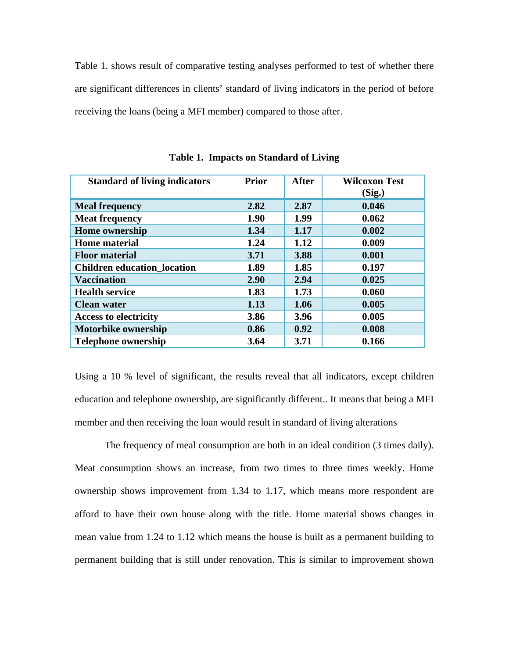Table 1. shows result of comparative testing analyses performed to test of whether there are significant differences in clients' standard of living indicators in the period of before receiving the loans (being a MFI member) compared to those after.

| <b>Standard of living indicators</b> | <b>Prior</b> | <b>After</b> | <b>Wilcoxon Test</b> |
|--------------------------------------|--------------|--------------|----------------------|
|                                      |              |              | (Sig.)               |
| <b>Meal frequency</b>                | 2.82         | 2.87         | 0.046                |
| <b>Meat frequency</b>                | 1.90         | 1.99         | 0.062                |
| <b>Home ownership</b>                | 1.34         | 1.17         | 0.002                |
| <b>Home</b> material                 | 1.24         | 1.12         | 0.009                |
| <b>Floor material</b>                | 3.71         | 3.88         | 0.001                |
| <b>Children education location</b>   | 1.89         | 1.85         | 0.197                |
| <b>Vaccination</b>                   | 2.90         | 2.94         | 0.025                |
| <b>Health service</b>                | 1.83         | 1.73         | 0.060                |
| <b>Clean water</b>                   | 1.13         | 1.06         | 0.005                |
| <b>Access to electricity</b>         | 3.86         | 3.96         | 0.005                |
| <b>Motorbike ownership</b>           | 0.86         | 0.92         | 0.008                |
| <b>Telephone ownership</b>           | 3.64         | 3.71         | 0.166                |

**Table 1. Impacts on Standard of Living** 

Using a 10 % level of significant, the results reveal that all indicators, except children education and telephone ownership, are significantly different.. It means that being a MFI member and then receiving the loan would result in standard of living alterations

The frequency of meal consumption are both in an ideal condition (3 times daily). Meat consumption shows an increase, from two times to three times weekly. Home ownership shows improvement from 1.34 to 1.17, which means more respondent are afford to have their own house along with the title. Home material shows changes in mean value from 1.24 to 1.12 which means the house is built as a permanent building to permanent building that is still under renovation. This is similar to improvement shown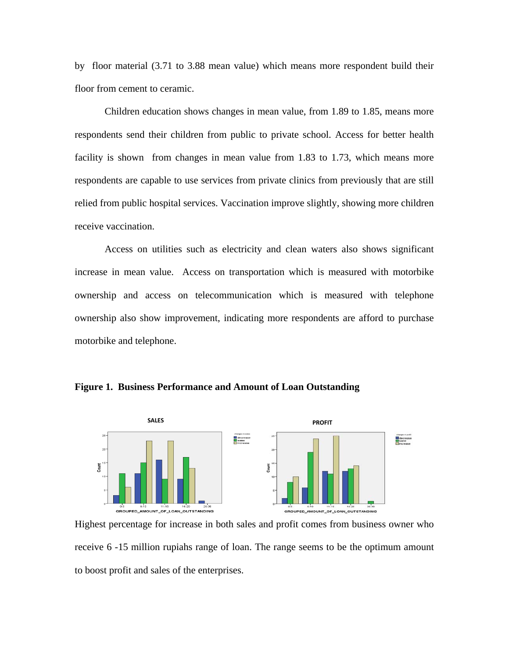by floor material (3.71 to 3.88 mean value) which means more respondent build their floor from cement to ceramic.

Children education shows changes in mean value, from 1.89 to 1.85, means more respondents send their children from public to private school. Access for better health facility is shown from changes in mean value from 1.83 to 1.73, which means more respondents are capable to use services from private clinics from previously that are still relied from public hospital services. Vaccination improve slightly, showing more children receive vaccination.

Access on utilities such as electricity and clean waters also shows significant increase in mean value. Access on transportation which is measured with motorbike ownership and access on telecommunication which is measured with telephone ownership also show improvement, indicating more respondents are afford to purchase motorbike and telephone.



**Figure 1. Business Performance and Amount of Loan Outstanding** 

Highest percentage for increase in both sales and profit comes from business owner who receive 6 -15 million rupiahs range of loan. The range seems to be the optimum amount to boost profit and sales of the enterprises.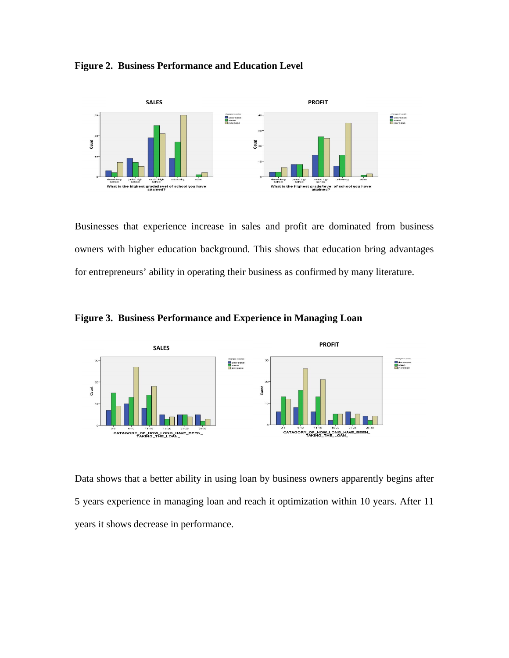## **Figure 2. Business Performance and Education Level**



Businesses that experience increase in sales and profit are dominated from business owners with higher education background. This shows that education bring advantages for entrepreneurs' ability in operating their business as confirmed by many literature.



**Figure 3. Business Performance and Experience in Managing Loan** 

Data shows that a better ability in using loan by business owners apparently begins after 5 years experience in managing loan and reach it optimization within 10 years. After 11 years it shows decrease in performance.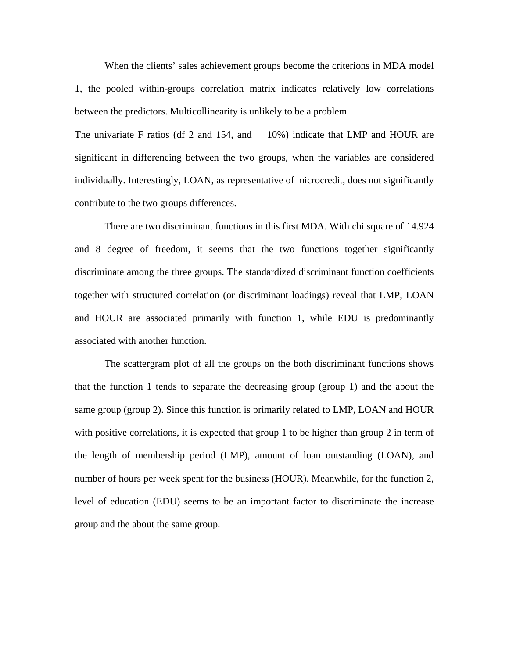When the clients' sales achievement groups become the criterions in MDA model 1, the pooled within-groups correlation matrix indicates relatively low correlations between the predictors. Multicollinearity is unlikely to be a problem.

The univariate F ratios (df 2 and 154, and 10%) indicate that LMP and HOUR are significant in differencing between the two groups, when the variables are considered individually. Interestingly, LOAN, as representative of microcredit, does not significantly contribute to the two groups differences.

There are two discriminant functions in this first MDA. With chi square of 14.924 and 8 degree of freedom, it seems that the two functions together significantly discriminate among the three groups. The standardized discriminant function coefficients together with structured correlation (or discriminant loadings) reveal that LMP, LOAN and HOUR are associated primarily with function 1, while EDU is predominantly associated with another function.

The scattergram plot of all the groups on the both discriminant functions shows that the function 1 tends to separate the decreasing group (group 1) and the about the same group (group 2). Since this function is primarily related to LMP, LOAN and HOUR with positive correlations, it is expected that group 1 to be higher than group 2 in term of the length of membership period (LMP), amount of loan outstanding (LOAN), and number of hours per week spent for the business (HOUR). Meanwhile, for the function 2, level of education (EDU) seems to be an important factor to discriminate the increase group and the about the same group.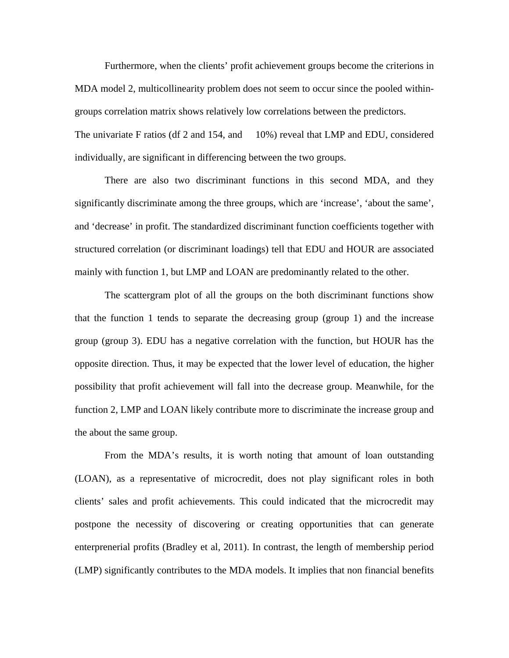Furthermore, when the clients' profit achievement groups become the criterions in MDA model 2, multicollinearity problem does not seem to occur since the pooled withingroups correlation matrix shows relatively low correlations between the predictors. The univariate F ratios (df 2 and 154, and 10%) reveal that LMP and EDU, considered individually, are significant in differencing between the two groups.

There are also two discriminant functions in this second MDA, and they significantly discriminate among the three groups, which are 'increase', 'about the same', and 'decrease' in profit. The standardized discriminant function coefficients together with structured correlation (or discriminant loadings) tell that EDU and HOUR are associated mainly with function 1, but LMP and LOAN are predominantly related to the other.

The scattergram plot of all the groups on the both discriminant functions show that the function 1 tends to separate the decreasing group (group 1) and the increase group (group 3). EDU has a negative correlation with the function, but HOUR has the opposite direction. Thus, it may be expected that the lower level of education, the higher possibility that profit achievement will fall into the decrease group. Meanwhile, for the function 2, LMP and LOAN likely contribute more to discriminate the increase group and the about the same group.

From the MDA's results, it is worth noting that amount of loan outstanding (LOAN), as a representative of microcredit, does not play significant roles in both clients' sales and profit achievements. This could indicated that the microcredit may postpone the necessity of discovering or creating opportunities that can generate enterprenerial profits (Bradley et al, 2011). In contrast, the length of membership period (LMP) significantly contributes to the MDA models. It implies that non financial benefits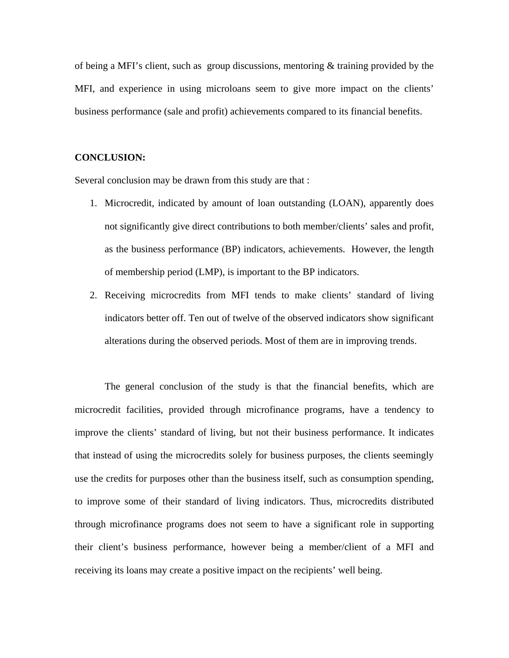of being a MFI's client, such as group discussions, mentoring & training provided by the MFI, and experience in using microloans seem to give more impact on the clients' business performance (sale and profit) achievements compared to its financial benefits.

### **CONCLUSION:**

Several conclusion may be drawn from this study are that :

- 1. Microcredit, indicated by amount of loan outstanding (LOAN), apparently does not significantly give direct contributions to both member/clients' sales and profit, as the business performance (BP) indicators, achievements. However, the length of membership period (LMP), is important to the BP indicators.
- 2. Receiving microcredits from MFI tends to make clients' standard of living indicators better off. Ten out of twelve of the observed indicators show significant alterations during the observed periods. Most of them are in improving trends.

The general conclusion of the study is that the financial benefits, which are microcredit facilities, provided through microfinance programs, have a tendency to improve the clients' standard of living, but not their business performance. It indicates that instead of using the microcredits solely for business purposes, the clients seemingly use the credits for purposes other than the business itself, such as consumption spending, to improve some of their standard of living indicators. Thus, microcredits distributed through microfinance programs does not seem to have a significant role in supporting their client's business performance, however being a member/client of a MFI and receiving its loans may create a positive impact on the recipients' well being.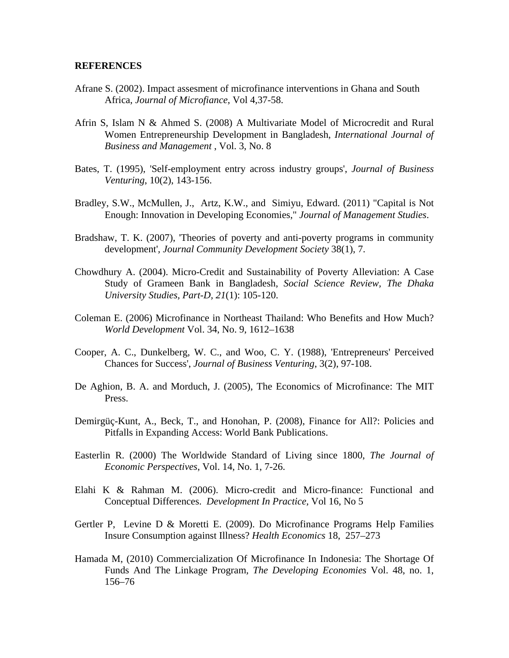#### **REFERENCES**

- Afrane S. (2002). Impact assesment of microfinance interventions in Ghana and South Africa, *Journal of Microfiance*, Vol 4,37-58.
- Afrin S, Islam N & Ahmed S. (2008) A Multivariate Model of Microcredit and Rural Women Entrepreneurship Development in Bangladesh, *International Journal of Business and Management* , Vol. 3, No. 8
- Bates, T. (1995), 'Self-employment entry across industry groups', *Journal of Business Venturing*, 10(2), 143-156.
- Bradley, S.W., McMullen, J., Artz, K.W., and Simiyu, Edward. (2011) "Capital is Not Enough: Innovation in Developing Economies," *Journal of Management Studies*.
- Bradshaw, T. K. (2007), 'Theories of poverty and anti-poverty programs in community development'*, Journal Community Development Society* 38(1), 7.
- Chowdhury A. (2004). Micro-Credit and Sustainability of Poverty Alleviation: A Case Study of Grameen Bank in Bangladesh, *Social Science Review, The Dhaka University Studies, Part-D, 21*(1): 105-120.
- Coleman E. (2006) Microfinance in Northeast Thailand: Who Benefits and How Much? *World Development* Vol. 34, No. 9, 1612–1638
- Cooper, A. C., Dunkelberg, W. C., and Woo, C. Y. (1988), 'Entrepreneurs' Perceived Chances for Success', *Journal of Business Venturing*, 3(2), 97-108.
- De Aghion, B. A. and Morduch, J. (2005), The Economics of Microfinance: The MIT Press.
- Demirgüç-Kunt, A., Beck, T., and Honohan, P. (2008), Finance for All?: Policies and Pitfalls in Expanding Access: World Bank Publications.
- Easterlin R. (2000) The Worldwide Standard of Living since 1800, *The Journal of Economic Perspectives*, Vol. 14, No. 1, 7-26.
- Elahi K & Rahman M. (2006). Micro-credit and Micro-finance: Functional and Conceptual Differences. *Development In Practice,* Vol 16, No 5
- Gertler P, Levine D & Moretti E. (2009). Do Microfinance Programs Help Families Insure Consumption against Illness? *Health Economics* 18, 257–273
- Hamada M, (2010) Commercialization Of Microfinance In Indonesia: The Shortage Of Funds And The Linkage Program*, The Developing Economies* Vol. 48, no. 1, 156–76